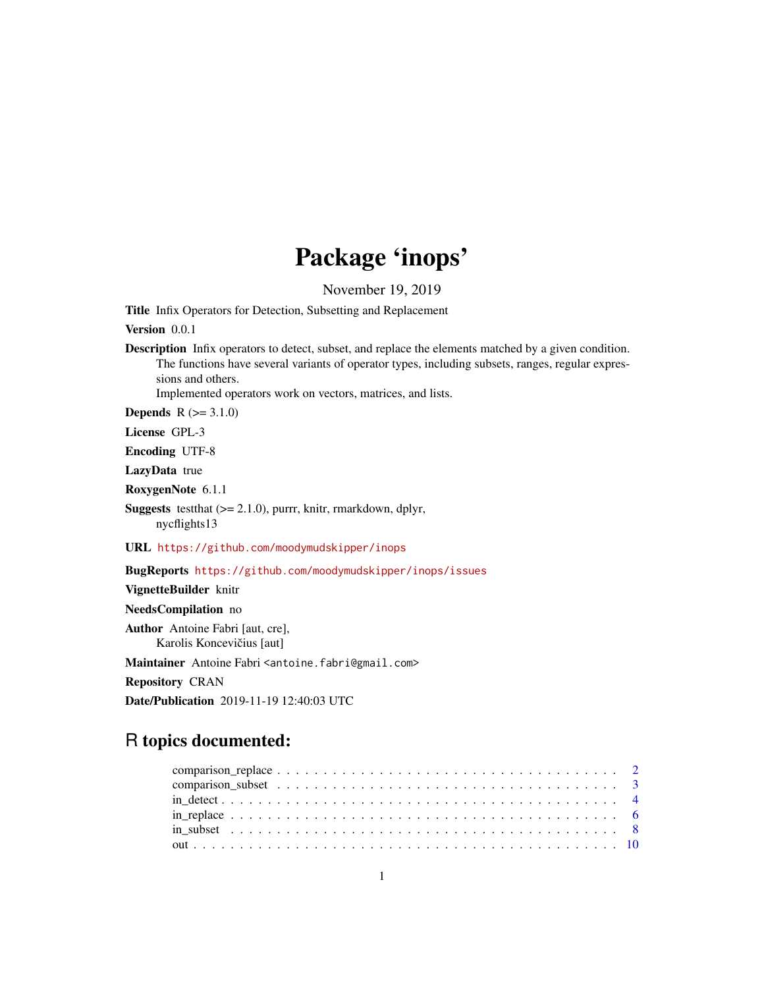## Package 'inops'

November 19, 2019

Title Infix Operators for Detection, Subsetting and Replacement

Version 0.0.1

Description Infix operators to detect, subset, and replace the elements matched by a given condition. The functions have several variants of operator types, including subsets, ranges, regular expressions and others.

Implemented operators work on vectors, matrices, and lists.

**Depends**  $R (=3.1.0)$ 

License GPL-3

Encoding UTF-8

LazyData true

RoxygenNote 6.1.1

**Suggests** testthat  $(>= 2.1.0)$ , purrr, knitr, rmarkdown, dplyr, nycflights13

URL <https://github.com/moodymudskipper/inops>

BugReports <https://github.com/moodymudskipper/inops/issues>

VignetteBuilder knitr NeedsCompilation no Author Antoine Fabri [aut, cre], Karolis Koncevičius [aut] Maintainer Antoine Fabri <antoine.fabri@gmail.com>

Repository CRAN

Date/Publication 2019-11-19 12:40:03 UTC

## R topics documented: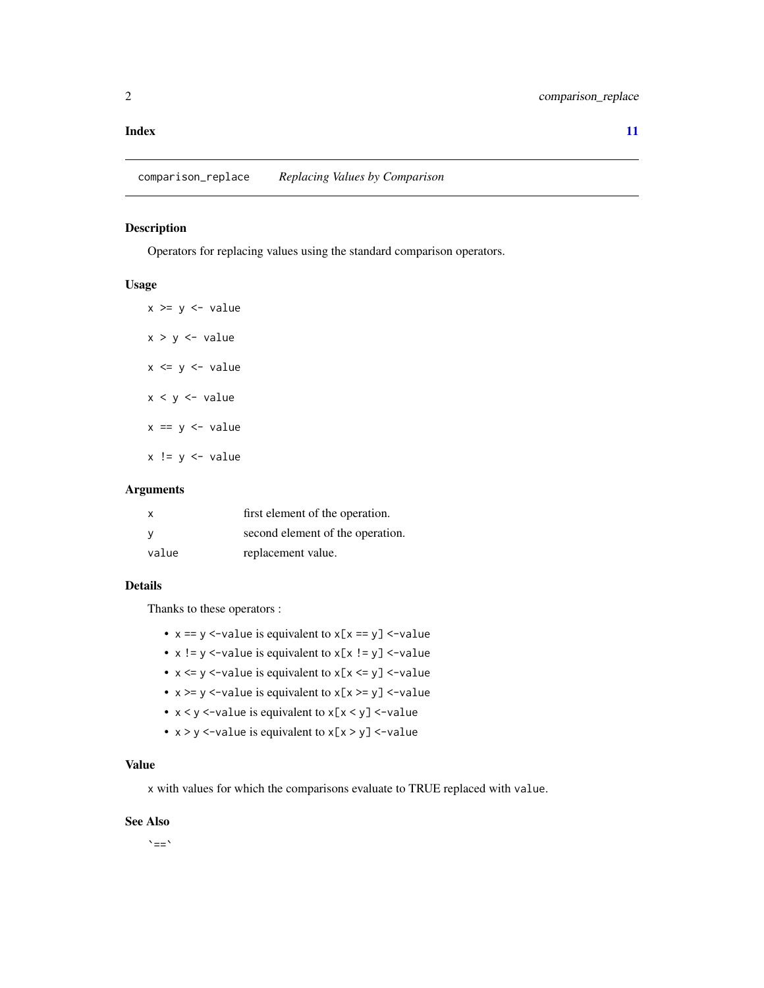#### <span id="page-1-0"></span>**Index** [11](#page-10-0)

comparison\_replace *Replacing Values by Comparison*

## Description

Operators for replacing values using the standard comparison operators.

## Usage

 $x \ge y \le -$  value  $x > y < -$  value  $x \le y \le -$  value  $x < y < -$  value  $x == y <- value$  $x := y \leftarrow$  value

#### Arguments

| x     | first element of the operation.  |
|-------|----------------------------------|
| ٧     | second element of the operation. |
| value | replacement value.               |

#### Details

Thanks to these operators :

- $x == y \le$ -value is equivalent to  $x[x == y] \le$ -value
- $x := y$  <-value is equivalent to  $x[x := y]$  <-value
- $x \le y \le$ -value is equivalent to  $x[x \le y] \le$ -value
- $x \ge y \le$ -value is equivalent to  $x[x \ge y] \le$ -value
- x < y <-value is equivalent to x[x < y] <-value
- x > y <-value is equivalent to x[x > y] <-value

## Value

x with values for which the comparisons evaluate to TRUE replaced with value.

#### See Also

`==`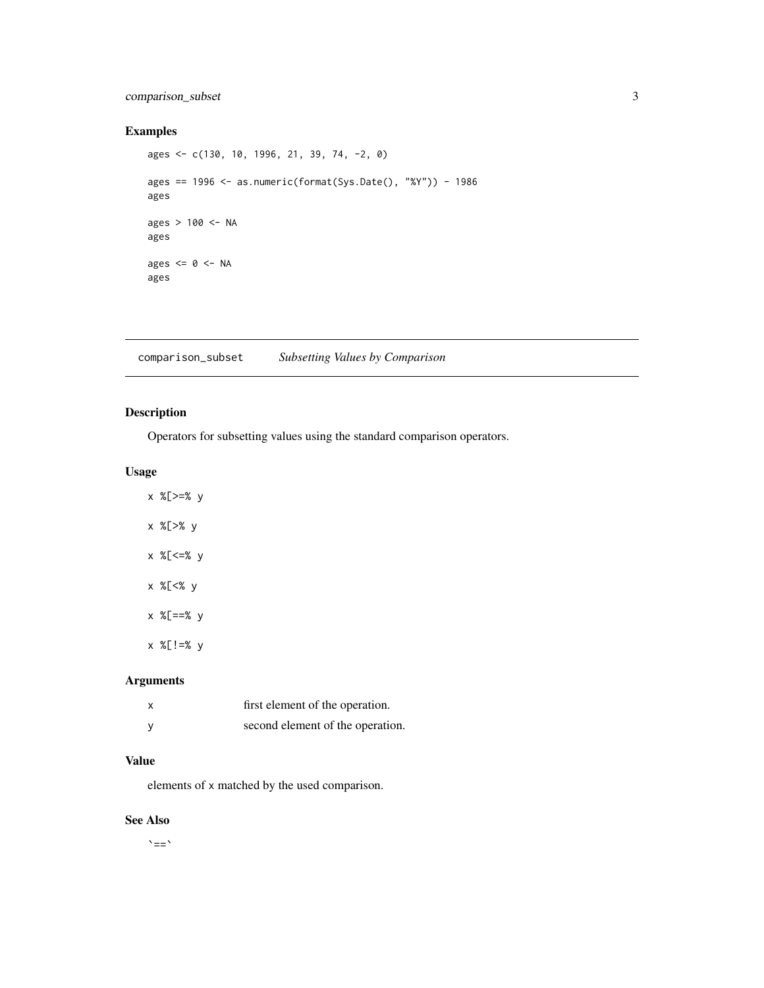## <span id="page-2-0"></span>comparison\_subset 3

## Examples

ages <- c(130, 10, 1996, 21, 39, 74, -2, 0) ages == 1996 <- as.numeric(format(Sys.Date(), "%Y")) - 1986 ages ages > 100 <- NA ages ages  $\leq 0 \leq$  NA ages

comparison\_subset *Subsetting Values by Comparison*

## Description

Operators for subsetting values using the standard comparison operators.

## Usage

- x %[>=% y x %[>% y
- x %[<=% y
- x %[<% y
- x %[==% y
- x %[!=% y

## Arguments

| x | first element of the operation.  |
|---|----------------------------------|
|   | second element of the operation. |

## Value

elements of x matched by the used comparison.

#### See Also

 $\sum_{i=1}^{n}$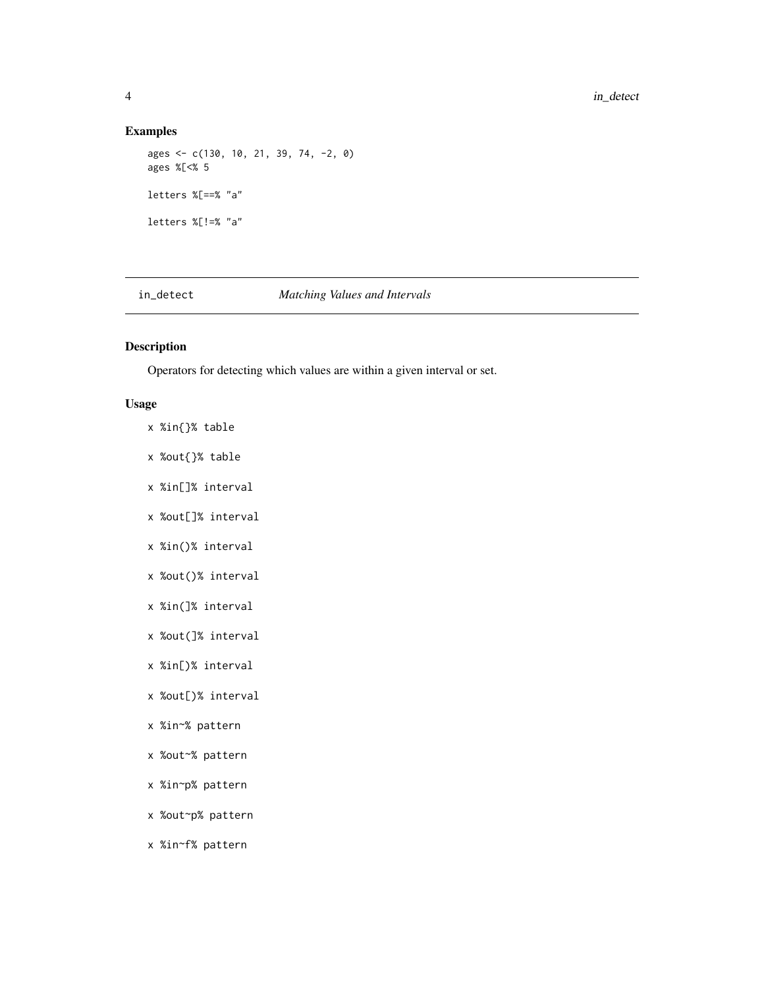## Examples

```
ages <- c(130, 10, 21, 39, 74, -2, 0)
ages %[<% 5
letters %[==% "a"
letters %[!=% "a"
```
## in\_detect *Matching Values and Intervals*

## Description

Operators for detecting which values are within a given interval or set.

## Usage

- x %in{}% table
- x %out{}% table
- x %in[]% interval
- x %out[]% interval
- x %in()% interval
- x %out()% interval
- x %in(]% interval
- x %out(]% interval
- x %in[)% interval
- x %out[)% interval
- x %in~% pattern
- x %out~% pattern
- x %in~p% pattern
- x %out~p% pattern
- x %in~f% pattern

<span id="page-3-0"></span>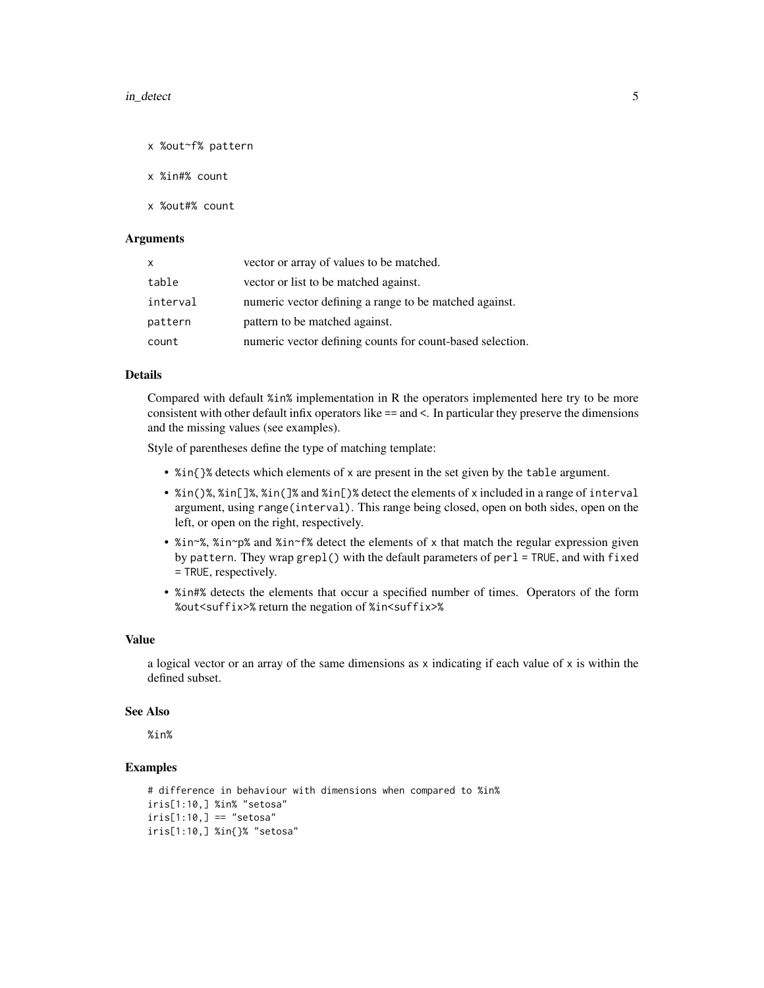#### in\_detect 5

x %out~f% pattern

x %in#% count

x %out#% count

#### Arguments

| $\mathsf{x}$ | vector or array of values to be matched.                  |
|--------------|-----------------------------------------------------------|
| table        | vector or list to be matched against.                     |
| interval     | numeric vector defining a range to be matched against.    |
| pattern      | pattern to be matched against.                            |
| count        | numeric vector defining counts for count-based selection. |

#### Details

Compared with default %in% implementation in R the operators implemented here try to be more consistent with other default infix operators like == and <. In particular they preserve the dimensions and the missing values (see examples).

Style of parentheses define the type of matching template:

- %in{}% detects which elements of x are present in the set given by the table argument.
- %in()%, %in[]%, %in(]% and %in[)% detect the elements of x included in a range of interval argument, using range(interval). This range being closed, open on both sides, open on the left, or open on the right, respectively.
- %in~%, %in~p% and %in~f% detect the elements of x that match the regular expression given by pattern. They wrap grepl() with the default parameters of perl = TRUE, and with fixed = TRUE, respectively.
- %in#% detects the elements that occur a specified number of times. Operators of the form %out<suffix>% return the negation of %in<suffix>%

#### Value

a logical vector or an array of the same dimensions as  $x$  indicating if each value of  $x$  is within the defined subset.

#### See Also

%in%

## Examples

```
# difference in behaviour with dimensions when compared to %in%
iris[1:10,] %in% "setosa"
iris[1:10,] == "setosa"iris[1:10,] %in{}% "setosa"
```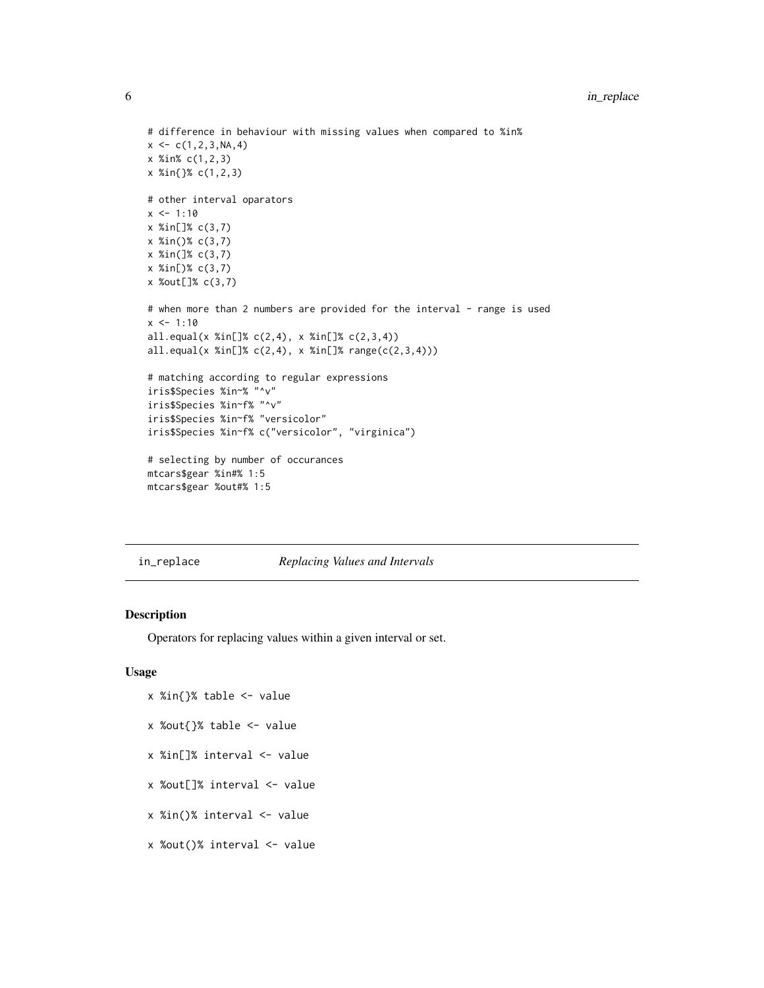```
# difference in behaviour with missing values when compared to %in%
x \leq -c(1, 2, 3, NA, 4)x %in% c(1,2,3)
x %in{}% c(1,2,3)
# other interval oparators
x \le -1:10x %in[]% c(3,7)
x %in()% c(3,7)
x %in(]% c(3,7)
x %in[)% c(3,7)
x %out[]% c(3,7)
# when more than 2 numbers are provided for the interval - range is used
x < -1:10all.equal(x %in[]% c(2,4), x %in[]% c(2,3,4))
all.equal(x %in[]% c(2,4), x %in[]% range(c(2,3,4)))
# matching according to regular expressions
iris$Species %in~% "^v"
iris$Species %in~f% "^v"
iris$Species %in~f% "versicolor"
iris$Species %in~f% c("versicolor", "virginica")
# selecting by number of occurances
mtcars$gear %in#% 1:5
mtcars$gear %out#% 1:5
```
in\_replace *Replacing Values and Intervals*

## Description

Operators for replacing values within a given interval or set.

#### Usage

- x %in{}% table <- value
- x %out{}% table <- value
- x %in[]% interval <- value
- x %out[]% interval <- value
- x %in()% interval <- value
- x %out()% interval <- value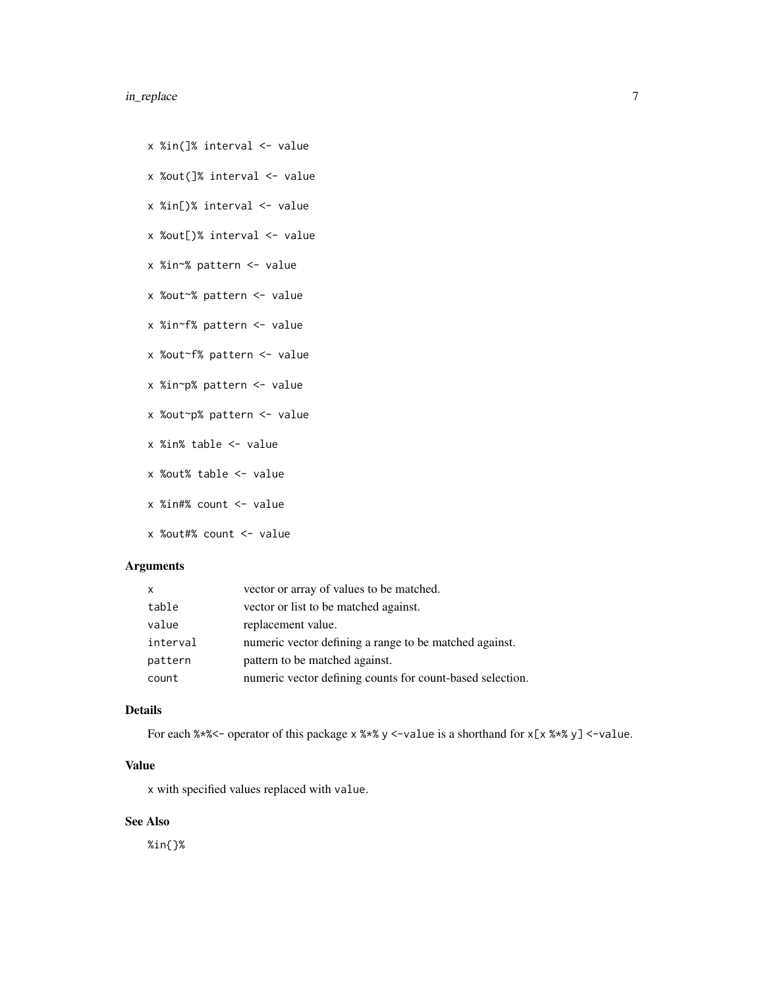## in\_replace 7

- x %in(]% interval <- value
- x %out(]% interval <- value
- x %in[)% interval <- value
- x %out[)% interval <- value
- x %in~% pattern <- value
- x %out~% pattern <- value
- x %in~f% pattern <- value
- x %out~f% pattern <- value
- x %in~p% pattern <- value
- x %out~p% pattern <- value
- x %in% table <- value
- x %out% table <- value
- x %in#% count <- value
- x %out#% count <- value

## Arguments

| $\mathsf{x}$ | vector or array of values to be matched.                  |
|--------------|-----------------------------------------------------------|
| table        | vector or list to be matched against.                     |
| value        | replacement value.                                        |
| interval     | numeric vector defining a range to be matched against.    |
| pattern      | pattern to be matched against.                            |
| count        | numeric vector defining counts for count-based selection. |

#### Details

For each %\*%<- operator of this package x %\*% y <-value is a shorthand for x[x %\*% y] <-value.

## Value

x with specified values replaced with value.

## See Also

%in{}%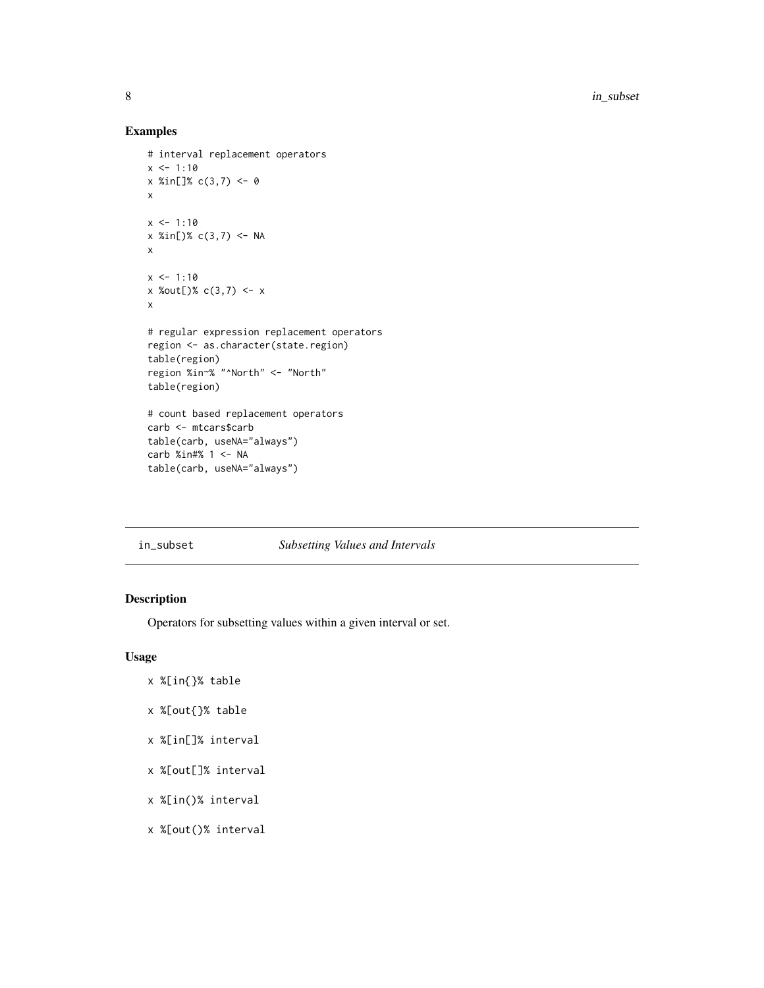8 in\_subset 3 in  $\frac{1}{2}$  in  $\frac{1}{2}$  in  $\frac{1}{2}$  in  $\frac{1}{2}$  in  $\frac{1}{2}$  in  $\frac{1}{2}$  in  $\frac{1}{2}$  in  $\frac{1}{2}$  in  $\frac{1}{2}$  in  $\frac{1}{2}$  in  $\frac{1}{2}$  in  $\frac{1}{2}$  in  $\frac{1}{2}$  in  $\frac{1}{2}$  in  $\frac{1}{2}$  in  $\frac{1}{2}$ 

## Examples

```
# interval replacement operators
x \le -1:10x %in[]% c(3,7) <- 0
x
x < -1:10x %in[)% c(3,7) <- NA
x
x \le -1:10x %out[)% c(3,7) <- x
x
# regular expression replacement operators
region <- as.character(state.region)
table(region)
region %in~% "^North" <- "North"
table(region)
# count based replacement operators
carb <- mtcars$carb
table(carb, useNA="always")
carb %in#% 1 <- NA
table(carb, useNA="always")
```

| in subset | <b>Subsetting Values and Intervals</b> |
|-----------|----------------------------------------|
|-----------|----------------------------------------|

## Description

Operators for subsetting values within a given interval or set.

## Usage

- x %[in{}% table
- x %[out{}% table
- x %[in[]% interval
- x %[out[]% interval
- x %[in()% interval
- x %[out()% interval

<span id="page-7-0"></span>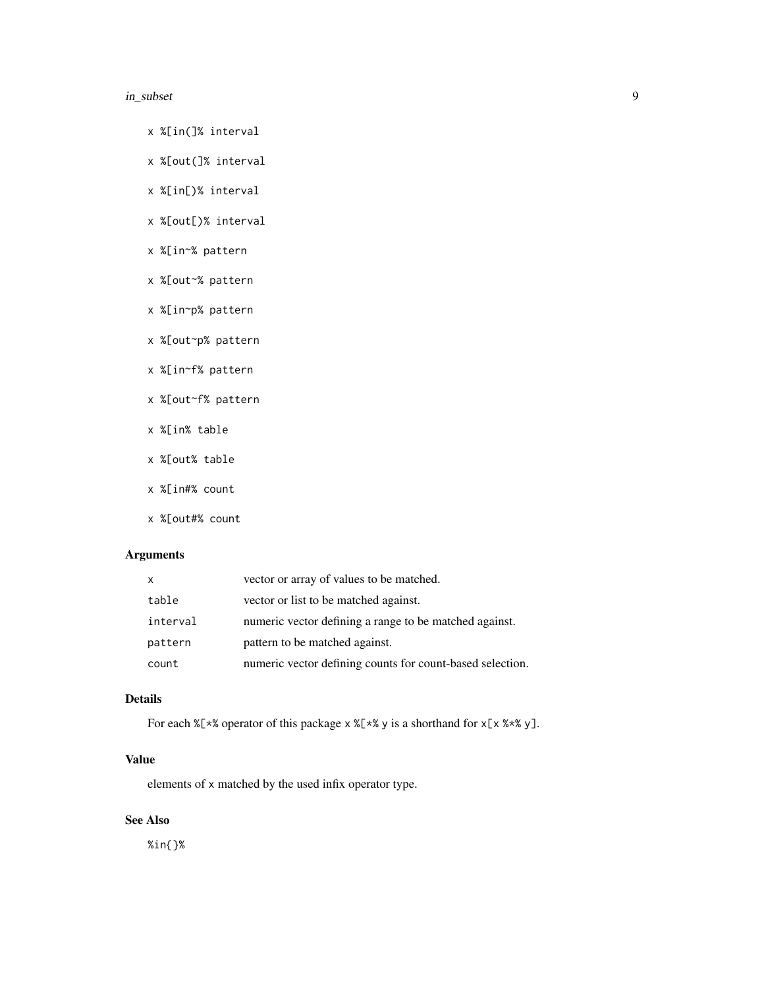#### in\_subset 9

- x %[in(]% interval
- x %[out(]% interval
- x %[in[)% interval
- x %[out[)% interval
- x %[in~% pattern
- x %[out~% pattern
- x %[in~p% pattern
- x %[out~p% pattern
- x %[in~f% pattern
- x %[out~f% pattern
- x %[in% table
- x %[out% table
- x %[in#% count
- x %[out#% count

## Arguments

| $\mathsf{x}$ | vector or array of values to be matched.                  |
|--------------|-----------------------------------------------------------|
| table        | vector or list to be matched against.                     |
| interval     | numeric vector defining a range to be matched against.    |
| pattern      | pattern to be matched against.                            |
| count        | numeric vector defining counts for count-based selection. |

## Details

For each  $X[x^*]$  operator of this package x  $X[x^*]$  y is a shorthand for  $X[X x^*]$ .

## Value

elements of x matched by the used infix operator type.

## See Also

%in{}%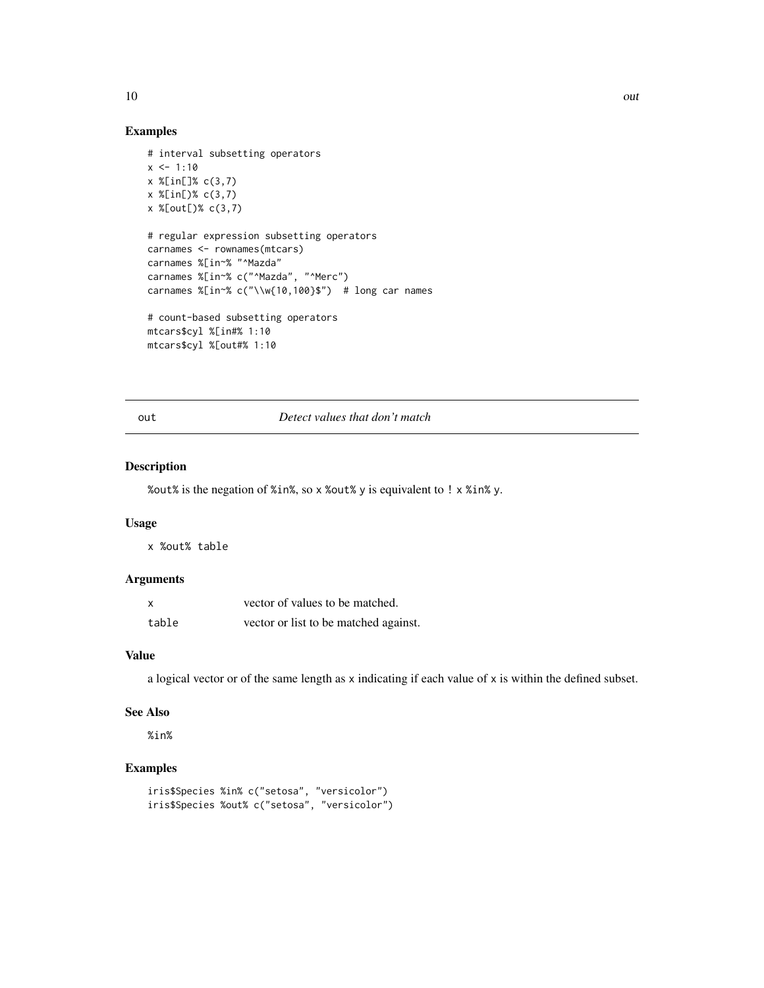<span id="page-9-0"></span>10 out that the contract of the contract of the contract of the contract of the contract of the contract of the contract of the contract of the contract of the contract of the contract of the contract of the contract of th

## Examples

```
# interval subsetting operators
x \le -1:10x %[in[]% c(3,7)
x %[in[)% c(3,7)
x %[out[)% c(3,7)
# regular expression subsetting operators
carnames <- rownames(mtcars)
carnames %[in~% "^Mazda"
carnames %[in~% c("^Mazda", "^Merc")
carnames %[in~% c("\\w{10,100}$") # long car names
# count-based subsetting operators
mtcars$cyl %[in#% 1:10
mtcars$cyl %[out#% 1:10
```
#### out *Detect values that don't match*

## Description

%out% is the negation of %in%, so x %out% y is equivalent to ! x %in% y.

#### Usage

x %out% table

#### Arguments

| $\boldsymbol{\mathsf{x}}$ | vector of values to be matched.       |
|---------------------------|---------------------------------------|
| table                     | vector or list to be matched against. |

#### Value

a logical vector or of the same length as x indicating if each value of x is within the defined subset.

#### See Also

%in%

## Examples

```
iris$Species %in% c("setosa", "versicolor")
iris$Species %out% c("setosa", "versicolor")
```